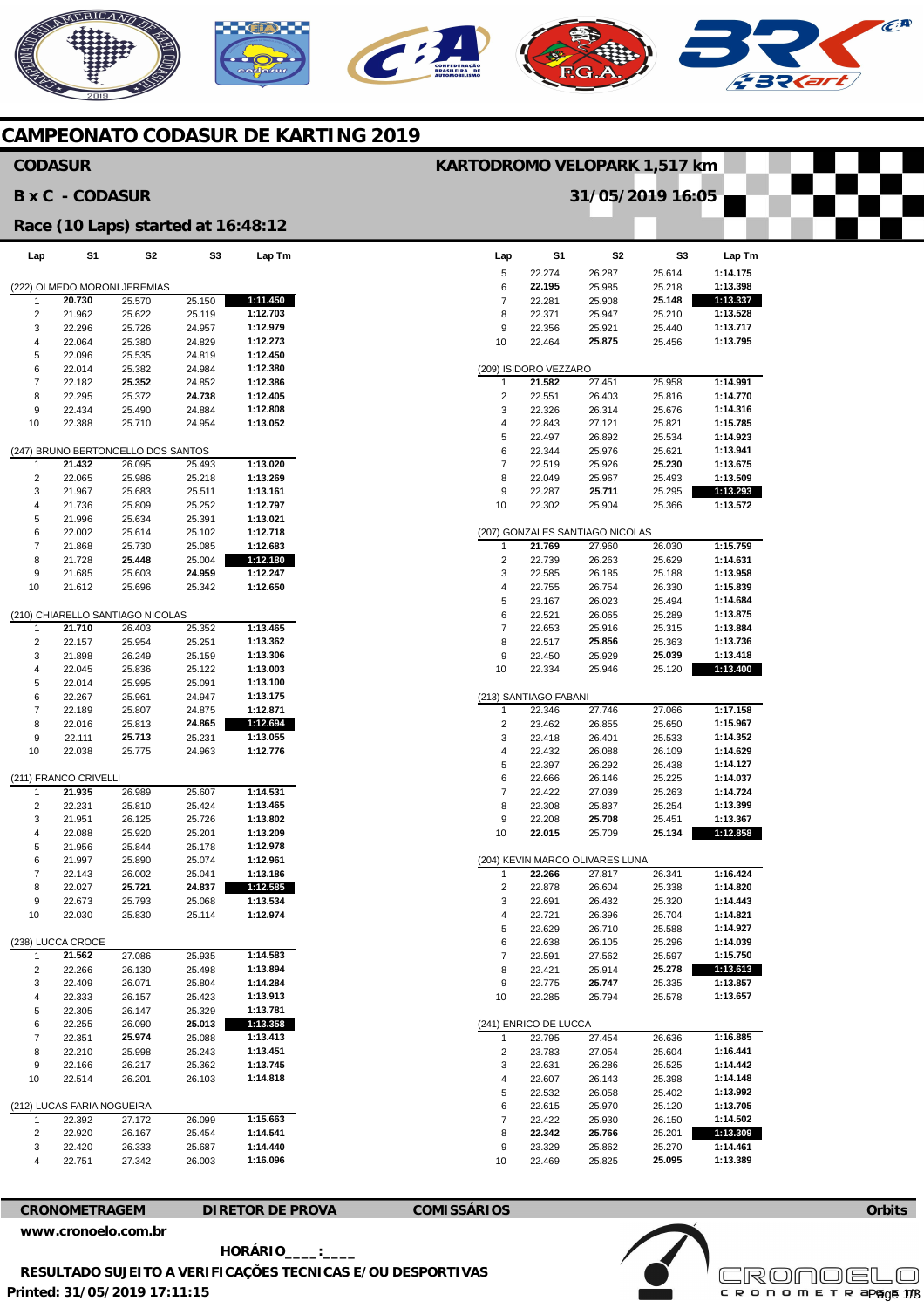# AERICANO

### **CAMPEONATO CODASUR DE KARTING 2019**

### **Lap**  5 6 7 8 9 10 (209) ISIDORO VEZZARO 7 2 3 4 5 6 7 8 9 10 (207) GONZALES SANTIAGO NICOLAS 1  $\mathfrak{2}$ 3 4 5 6 7 8 9 10 (213) SANTIAGO FABANI 1 2 3 4 5 6 7 8 9 10 (204) KEVIN MARCO OLIVARES LUNA 1  $\mathfrak{2}$ 3 4 5 6 7 8  $\alpha$ 10 (241) ENRICO DE LUCCA 1  $\overline{2}$ 3 4 5 6 7 8 9 10 **S1**  22.274 **22.195**  22.281 22.371 22.356 22.464 **21.582**  22.551 22.326 22.843 22.497 22.344 22.519 22.049 22.287 22.302 **21.769**  22.739 22.585 22.755 23.167 22.521 22.653 22.517 22.450 22.334 22.346 23.462 22.418 22.432 22.397 22.666 22.422 22.308 22.208 **22.015 22.266**  22.878 22.691 22.721 22.629 22.638 22.591 22.421 22.775 22.285 22.795 23.783 22.631 22.607 22.532 22.615 22.422 **22.342**  23.329 22.469 **S2**  26.287 25.985 25.908 25.947 25.921 **25.875**  27.451 26.403 26.314 27.121 26.892 25.976 25.926 25.967 **25.711**  25.904 27.960 26.263 26.185 26.754 26.023 26.065 25.916 **25.856**  25.929 25.946 27.746 26.855 26.401 26.088 26.292 26.146 27.039 25.837 **25.708**  25.709 27.817 26.604 26.432 26.396 26.710 26.105 27.562 25.914 **25.747**  25.794 27.454 27.054 26.286 26.143 26.058 25.970 25.930 **25.766**  25.862 25.825 **S3**  25.614 25.218 **25.148**  25.210 25.440 25.456 25.958 25.816 25.676 25.821 25.534 25.621 **25.230**  25.493 25.295 25.366 26.030 25.629 25.188 26.330 25.494 25.289 25.315 25.363 **25.039**  25.120 27.066 25.650 25.533 26.109 25.438 25.225 25.263 25.254 25.451 **25.134**  26.341 25.338 25.320 25.704 25.588 25.296 25.597 **25.278**  25.335 25.578 26.636 25.604 25.525 25.398 25.402 25.120 26.150 25.201 25.270 **25.095 Lap Tm 1:14.175 1:13.398 1:13.337 1:13.528 1:13.717 1:13.795 1:14.991 1:14.770 1:14.316 1:15.785 1:14.923 1:13.941 1:13.675 1:13.509 1:13.293 1:13.572 1:15.759 1:14.631 1:13.958 1:15.839 1:14.684 1:13.875 1:13.884 1:13.736 1:13.418 1:13.400 1:17.158 1:15.967 1:14.352 1:14.629 1:14.127 1:14.037 1:14.724 1:13.399 1:13.367 1:12.858 1:16.424 1:14.820 1:14.443 1:14.821 1:14.927 1:14.039 1:15.750 1:13.613 1:13.857 1:13.657 1:16.885 1:16.441 1:14.442 1:14.148 1:13.992 1:13.705 1:14.502 1:13.309 1:14.461 1:13.389 Lap**  (222) OLMEDO MORONI JEREMIAS 1 2 3 4 5 6 7 8 9 10 (247) BRUNO BERTONCELLO DOS SANTOS 1 2 3 4 5 6 7 8 9 10 (210) CHIARELLO SANTIAGO NICOLAS 1 2 3 4 5 6 7 8 9 10 (211) FRANCO CRIVELLI 1 2 3 4 5 6 7 8 9 10 (238) LUCCA CROCE 1  $\overline{2}$  $\overline{a}$ 4 5 6 7 8 9 10 (212) LUCAS FARIA NOGUEIRA 1 2 3 4 **S1 20.730**  21.962 22.296 22.064 22.096 22.014 22.182 22.295 22.434 22.388 **21.432**  22.065 21.967 21.736 21.996 22.002 21.868 21.728 21.685 21.612 **21.710**  22.157 21.898 22.045 22.014 22.267 22.189 22.016 22.111 22.038 **21.935**  22.231 21.951 22.088 21.956 21.997 22.143 22.027 22.673 22.030 **21.562**  22.266 22.409 22.333 22.305 22.255 22.351 22.210 22.166 22.514 22.392 22.920 22.420 22.751 **S2**  25.570 25.622 25.726 25.380 25.535 25.382 **25.352**  25.372 25.490 25.710 26.095 25.986 25.683 25.809 25.634 25.614 25.730 **25.448**  25.603 25.696 26.403 25.954 26.249 25.836 25.995 25.961 25.807 25.813 **25.713**  25.775 26.989 25.810 26.125 25.920 25.844 25.890 26.002 **25.721**  25.793 25.830 27.086 26.130 26.071 26.157 26.147 26.090 **25.974**  25.998 26.217 26.201 27.172 26.167 26.333 27.342 **S3**  25.150 25.119 24.957 24.829 24.819 24.984 24.852 **24.738**  24.884 24.954 25.493 25.218 25.511 25.252 25.391 25.102 25.085 25.004 **24.959**  25.342 25.352 25.251 25.159 25.122 25.091 24.947 24.875 **24.865**  25.231 24.963 25.607 25.424 25.726 25.201 25.178 25.074 25.041 **24.837**  25.068 25.114 25.935 25.498 25.804 25.423 25.329 **25.013**  25.088 25.243 25.362 26.103 26.099 25.454 25.687 26.003 **Lap Tm 1:11.450 1:12.703 1:12.979 1:12.273 1:12.450 1:12.380 1:12.386 1:12.405 1:12.808 1:13.052 1:13.020 1:13.269 1:13.161 1:12.797 1:13.021 1:12.718 1:12.683 1:12.180 1:12.247 1:12.650 1:13.465 1:13.362 1:13.306 1:13.003 1:13.100 1:13.175 1:12.871 1:12.694 1:13.055 1:12.776 1:14.531 1:13.465 1:13.802 1:13.209 1:12.978 1:12.961 1:13.186 1:12.585 1:13.534 1:12.974 1:14.583 1:13.894 1:14.284 1:13.913 1:13.781 1:13.358 1:13.413 1:13.451 1:13.745 1:14.818 1:15.663 1:14.541 1:14.440 1:16.096 CODASUR B x C - CODASUR Race (10 Laps) started at 16:48:12 KARTODROMO VELOPARK 1,517 km 31/05/2019 16:05**

**[www.cronoelo.com.br](http://www.cronoelo.com.br)** 

 **HORÁRIO\_\_\_\_:\_\_\_\_** 

**CRONOMETRAGEM DIRETOR DE PROVA COMISSÁRIOS** 



**Orbits** 

 $\widehat{C}^{\text{A}}$ 

**RESULTADO SUJEITO A VERIFICAÇÕES TECNICAS E/OU DESPORTIVAS** 

**Printed: 31/05/2019 17:11:15**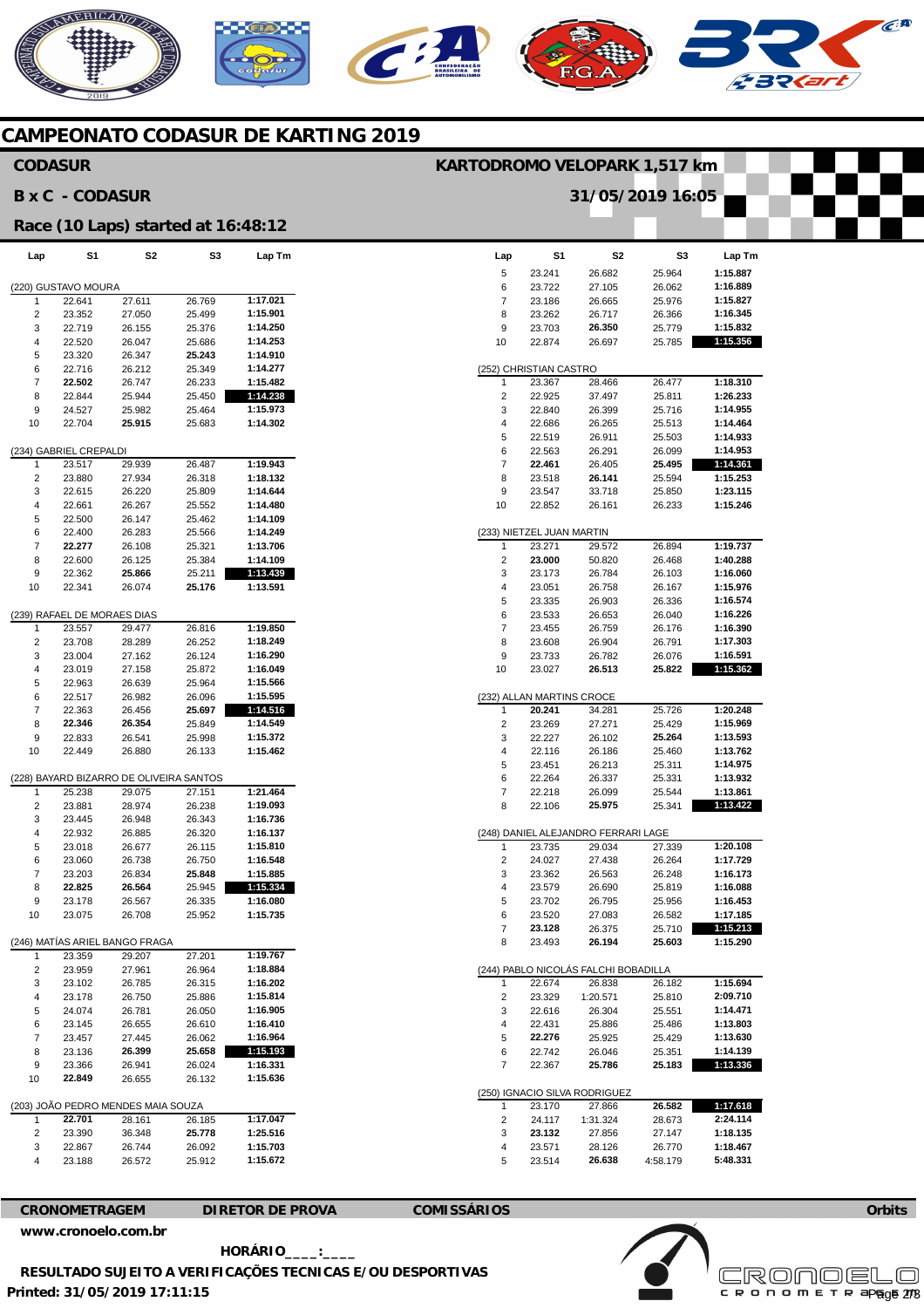# NERICANO  $\mathcal{C}$





**Lap Tm** 



|                     | <b>BxC-CODASUR</b>               |                                         |                  |                         |                         |                           | 31/05/2019 16:05                              |                  |   |
|---------------------|----------------------------------|-----------------------------------------|------------------|-------------------------|-------------------------|---------------------------|-----------------------------------------------|------------------|---|
|                     |                                  | Race (10 Laps) started at 16:48:12      |                  |                         |                         |                           |                                               |                  |   |
| Lap                 | S1                               | S <sub>2</sub>                          | S3               | Lap Tm                  | Lap                     | S1                        | S <sub>2</sub>                                | S <sub>3</sub>   |   |
|                     | (220) GUSTAVO MOURA              |                                         |                  |                         | 5<br>6                  | 23.241<br>23.722          | 26.682<br>27.105                              | 25.964<br>26.062 |   |
| 1                   | 22.641                           | 27.611                                  | 26.769           | 1:17.021                | $\overline{7}$          | 23.186                    | 26.665                                        | 25.976           |   |
| 2                   | 23.352                           | 27.050                                  | 25.499           | 1:15.901                | 8                       | 23.262                    | 26.717                                        | 26.366           |   |
| 3                   | 22.719                           | 26.155                                  | 25.376           | 1:14.250                | 9                       | 23.703                    | 26.350                                        | 25.779           |   |
| $\overline{4}$      | 22.520                           | 26.047                                  | 25.686           | 1:14.253                | 10                      | 22.874                    | 26.697                                        | 25.785           |   |
| 5                   | 23.320                           | 26.347                                  | 25.243           | 1:14.910                |                         |                           |                                               |                  |   |
| 6                   | 22.716                           | 26.212                                  | 25.349           | 1:14.277                |                         | (252) CHRISTIAN CASTRO    |                                               |                  |   |
| 7                   | 22.502                           | 26.747                                  | 26.233           | 1:15.482                | 1                       | 23.367                    | 28.466                                        | 26.477           |   |
| 8                   | 22.844                           | 25.944                                  | 25.450           | 1:14.238                | 2                       | 22.925                    | 37.497                                        | 25.811           |   |
| 9                   | 24.527                           | 25.982                                  | 25.464           | 1:15.973                | 3                       | 22.840                    | 26.399                                        | 25.716           |   |
| 10                  | 22.704                           | 25.915                                  | 25.683           | 1:14.302                | 4                       | 22.686                    | 26.265                                        | 25.513           |   |
|                     |                                  |                                         |                  |                         | 5                       | 22.519                    | 26.911                                        | 25.503           |   |
| 1                   | (234) GABRIEL CREPALDI<br>23.517 | 29.939                                  | 26.487           | 1:19.943                | 6<br>$\overline{7}$     | 22.563<br>22.461          | 26.291<br>26.405                              | 26.099<br>25.495 |   |
| $\overline{2}$      | 23.880                           | 27.934                                  | 26.318           | 1:18.132                | 8                       | 23.518                    | 26.141                                        | 25.594           |   |
| 3                   | 22.615                           | 26.220                                  | 25.809           | 1:14.644                | 9                       | 23.547                    | 33.718                                        | 25.850           |   |
| 4                   | 22.661                           | 26.267                                  | 25.552           | 1:14.480                | 10                      | 22.852                    | 26.161                                        | 26.233           |   |
| 5                   | 22.500                           | 26.147                                  | 25.462           | 1:14.109                |                         |                           |                                               |                  |   |
| 6                   | 22.400                           | 26.283                                  | 25.566           | 1:14.249                |                         | (233) NIETZEL JUAN MARTIN |                                               |                  |   |
| $\overline{7}$      | 22.277                           | 26.108                                  | 25.321           | 1:13.706                | $\mathbf{1}$            | 23.271                    | 29.572                                        | 26.894           | 1 |
| 8                   | 22.600                           | 26.125                                  | 25.384           | 1:14.109                | $\overline{c}$          | 23.000                    | 50.820                                        | 26.468           |   |
| 9                   | 22.362                           | 25.866                                  | 25.211           | 1:13.439                | 3                       | 23.173                    | 26.784                                        | 26.103           |   |
| 10                  | 22.341                           | 26.074                                  | 25.176           | 1:13.591                | 4                       | 23.051                    | 26.758                                        | 26.167           |   |
|                     |                                  |                                         |                  |                         | 5                       | 23.335                    | 26.903                                        | 26.336           |   |
|                     | (239) RAFAEL DE MORAES DIAS      |                                         |                  |                         | 6                       | 23.533                    | 26.653                                        | 26.040           |   |
| 1                   | 23.557                           | 29.477                                  | 26.816           | 1:19.850                | $\overline{\mathbf{7}}$ | 23.455                    | 26.759                                        | 26.176           |   |
| 2<br>3              | 23.708<br>23.004                 | 28.289<br>27.162                        | 26.252<br>26.124 | 1:18.249<br>1:16.290    | 8<br>9                  | 23.608<br>23.733          | 26.904<br>26.782                              | 26.791<br>26.076 |   |
| 4                   | 23.019                           | 27.158                                  | 25.872           | 1:16.049                | 10                      | 23.027                    | 26.513                                        | 25.822           |   |
| 5                   | 22.963                           | 26.639                                  | 25.964           | 1:15.566                |                         |                           |                                               |                  |   |
| 6                   | 22.517                           | 26.982                                  | 26.096           | 1:15.595                |                         | (232) ALLAN MARTINS CROCE |                                               |                  |   |
| $\overline{7}$      | 22.363                           | 26.456                                  | 25.697           | 1:14.516                | $\mathbf{1}$            | 20.241                    | 34.281                                        | 25.726           | 1 |
| 8                   | 22.346                           | 26.354                                  | 25.849           | 1:14.549                | $\overline{2}$          | 23.269                    | 27.271                                        | 25.429           |   |
| 9                   | 22.833                           | 26.541                                  | 25.998           | 1:15.372                | 3                       | 22.227                    | 26.102                                        | 25.264           |   |
| 10                  | 22.449                           | 26.880                                  | 26.133           | 1:15.462                | 4                       | 22.116                    | 26.186                                        | 25.460           |   |
|                     |                                  |                                         |                  |                         | 5                       | 23.451                    | 26.213                                        | 25.311           |   |
|                     |                                  | (228) BAYARD BIZARRO DE OLIVEIRA SANTOS |                  |                         | 6                       | 22.264                    | 26.337                                        | 25.331           |   |
| 1                   | 25.238                           | 29.075                                  | 27.151           | 1:21.464                | 7                       | 22.218                    | 26.099                                        | 25.544           |   |
| 2                   | 23.881                           | 28.974                                  | 26.238           | 1:19.093                | 8                       | 22.106                    | 25.975                                        | 25.341           |   |
| 3                   | 23.445                           | 26.948                                  | 26.343           | 1:16.736                |                         |                           |                                               |                  |   |
| 4<br>5              | 22.932<br>23.018                 | 26.885                                  | 26.320<br>26.115 | 1:16.137                | 1                       | 23.735                    | (248) DANIEL ALEJANDRO FERRARI LAGE<br>29.034 |                  |   |
| 6                   | 23.060                           | 26.677<br>26.738                        | 26.750           | 1:15.810<br>1:16.548    | 2                       | 24.027                    | 27.438                                        | 27.339<br>26.264 |   |
| $\overline{7}$      | 23.203                           | 26.834                                  | 25.848           | 1:15.885                | 3                       | 23.362                    | 26.563                                        | 26.248           | 1 |
| 8                   | 22.825                           | 26.564                                  | 25.945           | 1:15.334                | 4                       | 23.579                    | 26.690                                        | 25.819           |   |
| 9                   | 23.178                           | 26.567                                  | 26.335           | 1:16.080                | 5                       | 23.702                    | 26.795                                        | 25.956           |   |
| 10                  | 23.075                           | 26.708                                  | 25.952           | 1:15.735                | 6                       | 23.520                    | 27.083                                        | 26.582           |   |
|                     |                                  |                                         |                  |                         | 7                       | 23.128                    | 26.375                                        | 25.710           |   |
|                     |                                  | (246) MATÍAS ARIEL BANGO FRAGA          |                  |                         | 8                       | 23.493                    | 26.194                                        | 25.603           | 1 |
| 1                   | 23.359                           | 29.207                                  | 27.201           | 1:19.767                |                         |                           |                                               |                  |   |
| 2                   | 23.959                           | 27.961                                  | 26.964           | 1:18.884                |                         |                           | (244) PABLO NICOLÁS FALCHI BOBADILLA          |                  |   |
| 3                   | 23.102                           | 26.785                                  | 26.315           | 1:16.202                | 1                       | 22.674                    | 26.838                                        | 26.182           |   |
| 4                   | 23.178                           | 26.750                                  | 25.886           | 1:15.814                | 2                       | 23.329                    | 1:20.571                                      | 25.810           |   |
| 5                   | 24.074                           | 26.781                                  | 26.050           | 1:16.905                | 3                       | 22.616                    | 26.304                                        | 25.551           |   |
| 6<br>$\overline{7}$ | 23.145                           | 26.655                                  | 26.610           | 1:16.410                | 4                       | 22.431                    | 25.886                                        | 25.486           |   |
| 8                   | 23.457<br>23.136                 | 27.445<br>26.399                        | 26.062<br>25.658 | 1:16.964<br>1:15.193    | 5<br>6                  | 22.276<br>22.742          | 25.925<br>26.046                              | 25.429<br>25.351 |   |
| 9                   | 23.366                           | 26.941                                  | 26.024           | 1:16.331                | 7                       | 22.367                    | 25.786                                        | 25.183           |   |
| 10                  | 22.849                           | 26.655                                  | 26.132           | 1:15.636                |                         |                           |                                               |                  |   |
|                     |                                  |                                         |                  |                         |                         |                           | (250) IGNACIO SILVA RODRIGUEZ                 |                  |   |
|                     |                                  | (203) JOÃO PEDRO MENDES MAIA SOUZA      |                  |                         | 1                       | 23.170                    | 27.866                                        | 26.582           |   |
| 1                   | 22.701                           | 28.161                                  | 26.185           | 1:17.047                | 2                       | 24.117                    | 1:31.324                                      | 28.673           |   |
| 2                   | 23.390                           | 36.348                                  | 25.778           | 1:25.516                | 3                       | 23.132                    | 27.856                                        | 27.147           |   |
| 3                   | 22.867                           | 26.744                                  | 26.092           | 1:15.703                | 4                       | 23.571                    | 28.126                                        | 26.770           |   |
| 4                   | 23.188                           | 26.572                                  | 25.912           | 1:15.672                | 5                       | 23.514                    | 26.638                                        | 4:58.179         |   |
|                     |                                  |                                         |                  |                         |                         |                           |                                               |                  |   |
|                     |                                  |                                         |                  |                         |                         |                           |                                               |                  |   |
|                     | <b>CRONOMETRAGEM</b>             |                                         |                  | <b>DIRETOR DE PROVA</b> | <b>COMISSÁRIOS</b>      |                           |                                               |                  |   |

| 5                         | 23.241                    | 26.682                               | 25.964             | 1:15.887             |  |  |  |  |  |  |
|---------------------------|---------------------------|--------------------------------------|--------------------|----------------------|--|--|--|--|--|--|
| 6                         | 23.722                    | 27.105                               | 26.062             | 1:16.889             |  |  |  |  |  |  |
| 7                         | 23.186                    | 26.665                               | 25.976             | 1:15.827             |  |  |  |  |  |  |
| 8                         | 23.262                    | 26.717                               | 26.366             | 1:16.345             |  |  |  |  |  |  |
| 9                         | 23.703                    | 26.350                               | 25.779             | 1:15.832             |  |  |  |  |  |  |
| 10                        | 22.874                    | 26.697                               | 25.785             | 1:15.356             |  |  |  |  |  |  |
|                           |                           |                                      |                    |                      |  |  |  |  |  |  |
|                           | (252) CHRISTIAN CASTRO    |                                      |                    |                      |  |  |  |  |  |  |
| 1                         | 23.367                    | 28.466                               | 26.477             | 1:18.310             |  |  |  |  |  |  |
| 2                         | 22.925                    | 37.497                               | 25.811             | 1:26.233             |  |  |  |  |  |  |
| 3                         | 22.840                    | 26.399                               | 25.716             | 1:14.955             |  |  |  |  |  |  |
| 4                         | 22.686                    | 26.265                               | 25.513             | 1:14.464             |  |  |  |  |  |  |
| 5                         | 22.519                    | 26.911                               | 25.503             | 1:14.933             |  |  |  |  |  |  |
| 6                         | 22.563                    | 26.291                               | 26.099             | 1:14.953             |  |  |  |  |  |  |
| 7                         | 22.461                    | 26.405                               | 25.495             | 1:14.361             |  |  |  |  |  |  |
| 8                         | 23.518                    | 26.141                               | 25.594             | 1:15.253             |  |  |  |  |  |  |
| 9                         | 23.547                    | 33.718                               | 25.850             | 1:23.115             |  |  |  |  |  |  |
| 10                        | 22.852                    | 26.161                               | 26.233             | 1:15.246             |  |  |  |  |  |  |
|                           |                           |                                      |                    |                      |  |  |  |  |  |  |
| (233) NIETZEL JUAN MARTIN |                           |                                      |                    |                      |  |  |  |  |  |  |
| 1                         | 23.271                    | 29.572                               | 26.894             | 1:19.737             |  |  |  |  |  |  |
| 2                         | 23.000                    | 50.820                               | 26.468             | 1:40.288             |  |  |  |  |  |  |
| 3                         | 23.173                    | 26.784                               | 26.103             | 1:16.060             |  |  |  |  |  |  |
| 4                         | 23.051                    | 26.758                               | 26.167             | 1:15.976             |  |  |  |  |  |  |
| 5                         | 23.335                    | 26.903                               | 26.336             | 1:16.574             |  |  |  |  |  |  |
| 6                         | 23.533                    | 26.653                               | 26.040             | 1:16.226             |  |  |  |  |  |  |
| 7                         | 23.455                    | 26.759                               | 26.176             | 1:16.390             |  |  |  |  |  |  |
| 8                         | 23.608                    | 26.904                               | 26.791             | 1:17.303             |  |  |  |  |  |  |
| 9                         | 23.733                    | 26.782                               | 26.076             | 1:16.591             |  |  |  |  |  |  |
| 10                        | 23.027                    | 26.513                               | 25.822             | 1:15.362             |  |  |  |  |  |  |
|                           |                           |                                      |                    |                      |  |  |  |  |  |  |
|                           | (232) ALLAN MARTINS CROCE |                                      |                    |                      |  |  |  |  |  |  |
| 1                         | 20.241                    | 34.281                               | 25.726             | 1:20.248             |  |  |  |  |  |  |
| 2                         | 23.269                    | 27.271                               | 25.429             | 1:15.969             |  |  |  |  |  |  |
| 3                         | 22.227                    | 26.102                               | 25.264             | 1:13.593             |  |  |  |  |  |  |
| 4                         | 22.116                    | 26.186                               | 25.460             | 1:13.762             |  |  |  |  |  |  |
|                           |                           |                                      |                    |                      |  |  |  |  |  |  |
| 5                         | 23.451                    | 26.213                               | 25.311             | 1:14.975             |  |  |  |  |  |  |
| 6                         | 22.264                    | 26.337                               | 25.331             | 1:13.932             |  |  |  |  |  |  |
| 7                         | 22.218                    | 26.099                               | 25.544             | 1:13.861             |  |  |  |  |  |  |
| 8                         | 22.106                    | 25.975                               | 25.341             | 1:13.422             |  |  |  |  |  |  |
|                           |                           |                                      |                    |                      |  |  |  |  |  |  |
|                           |                           | 248) DANIEL ALEJANDRO FERRARI LAGE   |                    |                      |  |  |  |  |  |  |
| 1                         | 23.735                    | 29.034                               | 27.339             | 1:20.108             |  |  |  |  |  |  |
| 2                         | 24.027                    | 27.438                               | 26.264             | 1:17.729             |  |  |  |  |  |  |
| 3                         | 23.362                    | 26.563                               | 26.248             | 1:16.173             |  |  |  |  |  |  |
| 4                         | 23.579                    | 26.690                               | 25.819             | 1:16.088             |  |  |  |  |  |  |
| 5                         | 23.702                    | 26.795                               | 25.956             | 1:16.453             |  |  |  |  |  |  |
| 6                         | 23.520                    | 27.083                               | 26.582             | 1:17.185             |  |  |  |  |  |  |
| 7                         | 23.128                    | 26.375                               | 25.710             | 1:15.213             |  |  |  |  |  |  |
| 8                         | 23.493                    | 26.194                               | 25.603             | 1:15.290             |  |  |  |  |  |  |
|                           |                           |                                      |                    |                      |  |  |  |  |  |  |
|                           |                           | (244) PABLO NICOLÁS FALCHI BOBADILLA |                    |                      |  |  |  |  |  |  |
| 1                         | 22.674                    | 26.838                               | 26.182             | 1:15.694             |  |  |  |  |  |  |
| 2                         | 23.329                    | 1:20.571                             | 25.810             | 2:09.710             |  |  |  |  |  |  |
| 3                         | 22.616                    | 26.304                               | 25.551             | 1:14.471             |  |  |  |  |  |  |
| 4                         | 22.431                    | 25.886                               | 25.486             | 1:13.803             |  |  |  |  |  |  |
| 5                         | 22.276                    | 25.925                               | 25.429             | 1:13.630             |  |  |  |  |  |  |
| 6                         | 22.742                    | 26.046                               | 25.351             | 1:14.139             |  |  |  |  |  |  |
| 7                         | 22.367                    | 25.786                               | 25.183             | 1:13.336             |  |  |  |  |  |  |
|                           |                           |                                      |                    |                      |  |  |  |  |  |  |
|                           |                           | (250) IGNACIO SILVA RODRIGUEZ        |                    |                      |  |  |  |  |  |  |
| 1                         | 23.170                    | 27.866                               | 26.582             | 1:17.618             |  |  |  |  |  |  |
| 2                         | 24.117                    | 1:31.324                             | 28.673             | 2:24.114             |  |  |  |  |  |  |
| 3                         | 23.132                    | 27.856                               | 27.147             | 1:18.135             |  |  |  |  |  |  |
| 4<br>5                    | 23.571<br>23.514          | 28.126<br>26.638                     | 26.770<br>4:58.179 | 1:18.467<br>5:48.331 |  |  |  |  |  |  |

## **[www.cronoelo.com.br](http://www.cronoelo.com.br)**





**Printed: 31/05/2019 17:11:15 HORÁRIO\_\_\_\_:\_\_\_\_ RESULTADO SUJEITO A VERIFICAÇÕES TECNICAS E/OU DESPORTIVAS**